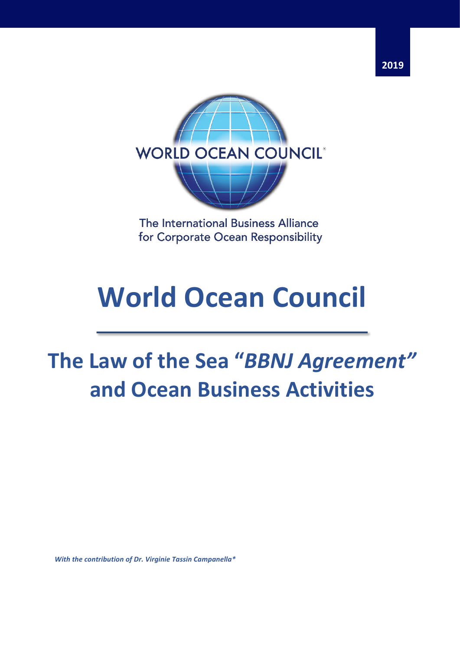



The International Business Alliance for Corporate Ocean Responsibility

# **World Ocean Council**

# The Law of the Sea "*BBNJ Agreement"* **and Ocean Business Activities**

*With the contribution of Dr. Virginie Tassin Campanella\**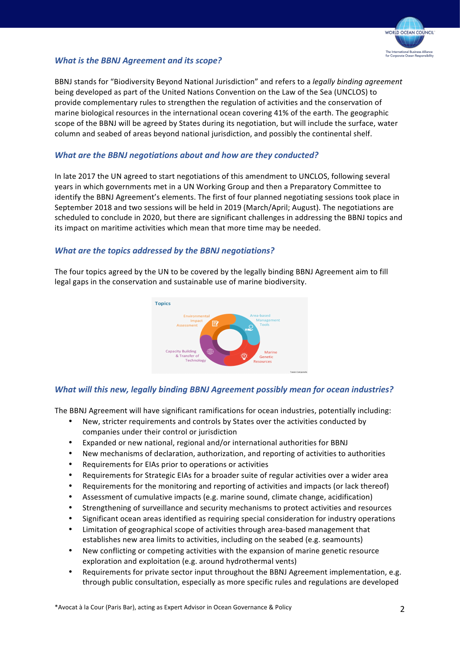

#### *What is the BBNJ Agreement and its scope?*

BBNJ stands for "Biodiversity Beyond National Jurisdiction" and refers to a *legally binding agreement* being developed as part of the United Nations Convention on the Law of the Sea (UNCLOS) to provide complementary rules to strengthen the regulation of activities and the conservation of marine biological resources in the international ocean covering 41% of the earth. The geographic scope of the BBNJ will be agreed by States during its negotiation, but will include the surface, water column and seabed of areas beyond national jurisdiction, and possibly the continental shelf.

#### **What are the BBNJ negotiations about and how are they conducted?**

In late 2017 the UN agreed to start negotiations of this amendment to UNCLOS, following several years in which governments met in a UN Working Group and then a Preparatory Committee to identify the BBNJ Agreement's elements. The first of four planned negotiating sessions took place in September 2018 and two sessions will be held in 2019 (March/April; August). The negotiations are scheduled to conclude in 2020, but there are significant challenges in addressing the BBNJ topics and its impact on maritime activities which mean that more time may be needed.

#### *What are the topics addressed by the BBNJ negotiations?*

The four topics agreed by the UN to be covered by the legally binding BBNJ Agreement aim to fill legal gaps in the conservation and sustainable use of marine biodiversity.



## *What will this new, legally binding BBNJ Agreement possibly mean for ocean industries?*

The BBNJ Agreement will have significant ramifications for ocean industries, potentially including:

- New, stricter requirements and controls by States over the activities conducted by companies under their control or jurisdiction
- Expanded or new national, regional and/or international authorities for BBNJ
- New mechanisms of declaration, authorization, and reporting of activities to authorities
- Requirements for EIAs prior to operations or activities
- Requirements for Strategic EIAs for a broader suite of regular activities over a wider area
- Requirements for the monitoring and reporting of activities and impacts (or lack thereof)
- Assessment of cumulative impacts (e.g. marine sound, climate change, acidification)
- Strengthening of surveillance and security mechanisms to protect activities and resources
- Significant ocean areas identified as requiring special consideration for industry operations
- Limitation of geographical scope of activities through area-based management that establishes new area limits to activities, including on the seabed (e.g. seamounts)
- New conflicting or competing activities with the expansion of marine genetic resource exploration and exploitation (e.g. around hydrothermal vents)
- Requirements for private sector input throughout the BBNJ Agreement implementation, e.g. through public consultation, especially as more specific rules and regulations are developed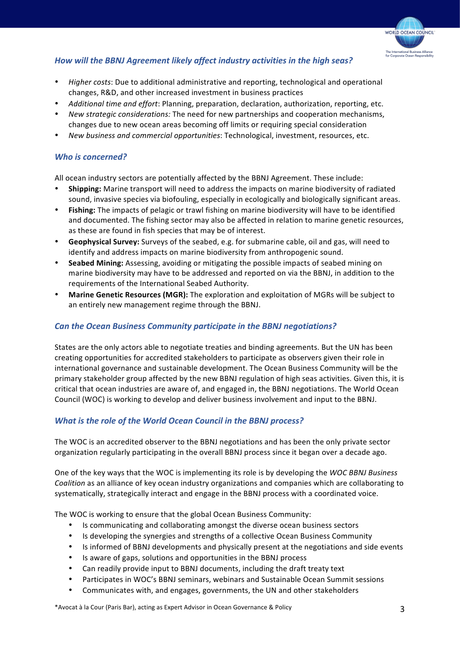

# *How will the BBNJ Agreement likely affect industry activities in the high seas?*

- *Higher costs*: Due to additional administrative and reporting, technological and operational changes, R&D, and other increased investment in business practices
- Additional time and effort: Planning, preparation, declaration, authorization, reporting, etc.
- *New strategic considerations:* The need for new partnerships and cooperation mechanisms, changes due to new ocean areas becoming off limits or requiring special consideration
- *New business and commercial opportunities*: Technological, investment, resources, etc.

#### **Who** is concerned?

All ocean industry sectors are potentially affected by the BBNJ Agreement. These include:

- **Shipping:** Marine transport will need to address the impacts on marine biodiversity of radiated sound, invasive species via biofouling, especially in ecologically and biologically significant areas.
- **Fishing:** The impacts of pelagic or trawl fishing on marine biodiversity will have to be identified and documented. The fishing sector may also be affected in relation to marine genetic resources, as these are found in fish species that may be of interest.
- Geophysical Survey: Surveys of the seabed, e.g. for submarine cable, oil and gas, will need to identify and address impacts on marine biodiversity from anthropogenic sound.
- **Seabed Mining:** Assessing, avoiding or mitigating the possible impacts of seabed mining on marine biodiversity may have to be addressed and reported on via the BBNJ, in addition to the requirements of the International Seabed Authority.
- **Marine Genetic Resources (MGR):** The exploration and exploitation of MGRs will be subject to an entirely new management regime through the BBNJ.

#### **Can the Ocean Business Community participate in the BBNJ negotiations?**

States are the only actors able to negotiate treaties and binding agreements. But the UN has been creating opportunities for accredited stakeholders to participate as observers given their role in international governance and sustainable development. The Ocean Business Community will be the primary stakeholder group affected by the new BBNJ regulation of high seas activities. Given this, it is critical that ocean industries are aware of, and engaged in, the BBNJ negotiations. The World Ocean Council (WOC) is working to develop and deliver business involvement and input to the BBNJ.

#### **What is the role of the World Ocean Council in the BBNJ process?**

The WOC is an accredited observer to the BBNJ negotiations and has been the only private sector organization regularly participating in the overall BBNJ process since it began over a decade ago.

One of the key ways that the WOC is implementing its role is by developing the *WOC BBNJ Business Coalition* as an alliance of key ocean industry organizations and companies which are collaborating to systematically, strategically interact and engage in the BBNJ process with a coordinated voice.

The WOC is working to ensure that the global Ocean Business Community:

- Is communicating and collaborating amongst the diverse ocean business sectors
- Is developing the synergies and strengths of a collective Ocean Business Community
- Is informed of BBNJ developments and physically present at the negotiations and side events
- Is aware of gaps, solutions and opportunities in the BBNJ process
- Can readily provide input to BBNJ documents, including the draft treaty text
- Participates in WOC's BBNJ seminars, webinars and Sustainable Ocean Summit sessions
- Communicates with, and engages, governments, the UN and other stakeholders